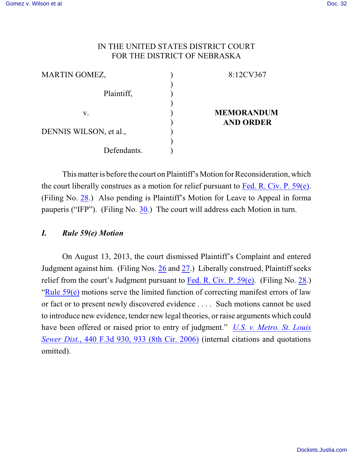# IN THE UNITED STATES DISTRICT COURT FOR THE DISTRICT OF NEBRASKA

| <b>MARTIN GOMEZ,</b>   | 8:12CV367         |
|------------------------|-------------------|
| Plaintiff,             |                   |
| V.                     | <b>MEMORANDUM</b> |
| DENNIS WILSON, et al., | <b>AND ORDER</b>  |
| Defendants.            |                   |

Thismatter is before the court on Plaintiff's Motion for Reconsideration, which the court liberally construes as a motion for relief pursuant to [Fed. R. Civ. P. 59\(e\)](http://web2.westlaw.com/find/default.wl?cite=Fed.+R.+Civ.+P.+59&rs=WLW13.04&vr=2.0&rp=%2ffind%2fdefault.wl&sv=Split&fn=_top&mt=Westlaw). (Filing No. [28](https://ecf.ned.uscourts.gov/doc1/11312863098).) Also pending is Plaintiff's Motion for Leave to Appeal in forma pauperis ("IFP"). (Filing No. [30](https://ecf.ned.uscourts.gov/doc1/11312863104).) The court will address each Motion in turn.

# *I. Rule 59(e) Motion*

On August 13, 2013, the court dismissed Plaintiff's Complaint and entered Judgment against him. (Filing Nos. [26](https://ecf.ned.uscourts.gov/doc1/11312843690) and [27](https://ecf.ned.uscourts.gov/doc1/11312843772).) Liberally construed, Plaintiff seeks relief from the court's Judgment pursuant to [Fed. R. Civ. P. 59\(e\)](http://web2.westlaw.com/find/default.wl?cite=Fed.+R.+Civ.+P.+59&rs=WLW13.04&vr=2.0&rp=%2ffind%2fdefault.wl&sv=Split&fn=_top&mt=Westlaw). (Filing No. [28](https://ecf.ned.uscourts.gov/doc1/11312863098).) "Rule  $59(e)$  motions serve the limited function of correcting manifest errors of law or fact or to present newly discovered evidence . . . . Such motions cannot be used to introduce new evidence, tender new legal theories, or raise arguments which could have been offered or raised prior to entry of judgment." *[U.S. v. Metro. St. Louis](http://web2.westlaw.com/find/default.wl?rs=WLW9.08&ifm=NotSet&fn=_top&sv=Split&cite=440+F.3d+933+&vr=2.0&rp=%2ffind%2fdefault.wl&mt=Westlaw) Sewer Dist.*[, 440 F.3d](http://web2.westlaw.com/find/default.wl?rs=WLW9.08&ifm=NotSet&fn=_top&sv=Split&cite=440+F.3d+933+&vr=2.0&rp=%2ffind%2fdefault.wl&mt=Westlaw) 930, 933 (8th Cir. 2006) (internal citations and quotations omitted).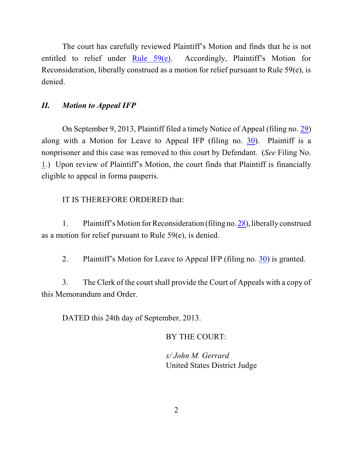The court has carefully reviewed Plaintiff's Motion and finds that he is not entitled to relief under Rule  $59(e)$ . Accordingly, Plaintiff's Motion for Reconsideration, liberally construed as a motion for relief pursuant to Rule 59(e), is denied.

# *II. Motion to Appeal IFP*

On September 9, 2013, Plaintiff filed a timely Notice of Appeal (filing no. [29](https://ecf.ned.uscourts.gov/doc1/11312863101)) along with a Motion for Leave to Appeal IFP (filing no. [30](https://ecf.ned.uscourts.gov/doc1/11312863104)). Plaintiff is a nonprisoner and this case was removed to this court by Defendant. (*See* Filing No. [1](https://ecf.ned.uscourts.gov/doc1/11302628790).) Upon review of Plaintiff's Motion, the court finds that Plaintiff is financially eligible to appeal in forma pauperis.

# IT IS THEREFORE ORDERED that:

1. Plaintiff's Motion for Reconsideration (filing no. [28](https://ecf.ned.uscourts.gov/doc1/11312863098)), liberally construed as a motion for relief pursuant to Rule 59(e), is denied.

2. Plaintiff's Motion for Leave to Appeal IFP (filing no. [30](https://ecf.ned.uscourts.gov/doc1/11312863104)) is granted.

3. The Clerk of the courtshall provide the Court of Appeals with a copy of this Memorandum and Order.

DATED this 24th day of September, 2013.

# BY THE COURT:

*s/ John M. Gerrard* United States District Judge